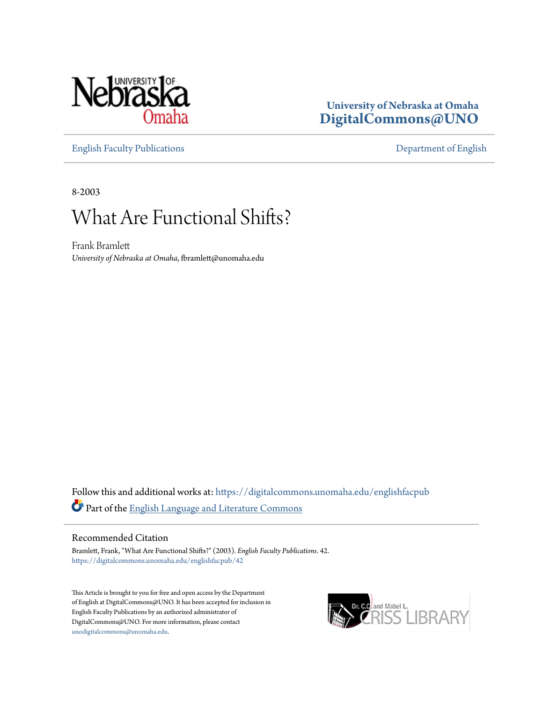

### **University of Nebraska at Omaha [DigitalCommons@UNO](https://digitalcommons.unomaha.edu?utm_source=digitalcommons.unomaha.edu%2Fenglishfacpub%2F42&utm_medium=PDF&utm_campaign=PDFCoverPages)**

[English Faculty Publications](https://digitalcommons.unomaha.edu/englishfacpub?utm_source=digitalcommons.unomaha.edu%2Fenglishfacpub%2F42&utm_medium=PDF&utm_campaign=PDFCoverPages) [Department of English](https://digitalcommons.unomaha.edu/english?utm_source=digitalcommons.unomaha.edu%2Fenglishfacpub%2F42&utm_medium=PDF&utm_campaign=PDFCoverPages)

8-2003

## What Are Functional Shifts?

Frank Bramlett *University of Nebraska at Omaha*, fbramlett@unomaha.edu

Follow this and additional works at: [https://digitalcommons.unomaha.edu/englishfacpub](https://digitalcommons.unomaha.edu/englishfacpub?utm_source=digitalcommons.unomaha.edu%2Fenglishfacpub%2F42&utm_medium=PDF&utm_campaign=PDFCoverPages) Part of the [English Language and Literature Commons](http://network.bepress.com/hgg/discipline/455?utm_source=digitalcommons.unomaha.edu%2Fenglishfacpub%2F42&utm_medium=PDF&utm_campaign=PDFCoverPages)

#### Recommended Citation

Bramlett, Frank, "What Are Functional Shifts?" (2003). *English Faculty Publications*. 42. [https://digitalcommons.unomaha.edu/englishfacpub/42](https://digitalcommons.unomaha.edu/englishfacpub/42?utm_source=digitalcommons.unomaha.edu%2Fenglishfacpub%2F42&utm_medium=PDF&utm_campaign=PDFCoverPages)

This Article is brought to you for free and open access by the Department of English at DigitalCommons@UNO. It has been accepted for inclusion in English Faculty Publications by an authorized administrator of DigitalCommons@UNO. For more information, please contact [unodigitalcommons@unomaha.edu](mailto:unodigitalcommons@unomaha.edu).